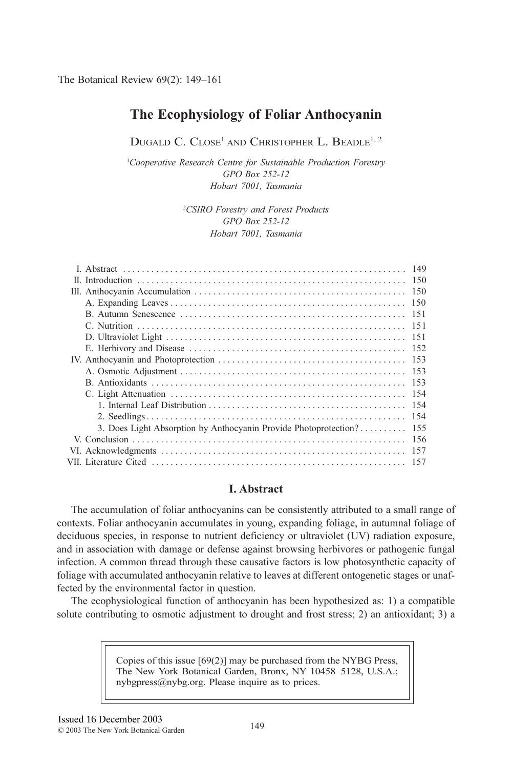# The Ecophysiology of Foliar Anthocyanin

DUGALD C. CLOSE<sup>1</sup> AND CHRISTOPHER L. BEADLE<sup>1, 2</sup>

<sup>1</sup>Cooperative Research Centre for Sustainable Production Forestry GPO Box 252-12 Hobart 7001, Tasmania

> 2 CSIRO Forestry and Forest Products GPO Box 252-12 Hobart 7001, Tasmania

|                                                                  | 150 |
|------------------------------------------------------------------|-----|
|                                                                  |     |
|                                                                  |     |
|                                                                  |     |
|                                                                  |     |
|                                                                  |     |
|                                                                  |     |
|                                                                  |     |
|                                                                  |     |
|                                                                  |     |
|                                                                  | 154 |
|                                                                  | 154 |
|                                                                  | 154 |
| 3. Does Light Absorption by Anthocyanin Provide Photoprotection? | 155 |
|                                                                  |     |
|                                                                  | 157 |
|                                                                  |     |
|                                                                  |     |

# I. Abstract

The accumulation of foliar anthocyanins can be consistently attributed to a small range of contexts. Foliar anthocyanin accumulates in young, expanding foliage, in autumnal foliage of deciduous species, in response to nutrient deficiency or ultraviolet (UV) radiation exposure, and in association with damage or defense against browsing herbivores or pathogenic fungal infection. A common thread through these causative factors is low photosynthetic capacity of foliage with accumulated anthocyanin relative to leaves at different ontogenetic stages or unaffected by the environmental factor in question.

The ecophysiological function of anthocyanin has been hypothesized as: 1) a compatible solute contributing to osmotic adjustment to drought and frost stress; 2) an antioxidant; 3) a

> Copies of this issue [69(2)] may be purchased from the NYBG Press, The New York Botanical Garden, Bronx, NY 10458–5128, U.S.A.; nybgpress@nybg.org. Please inquire as to prices.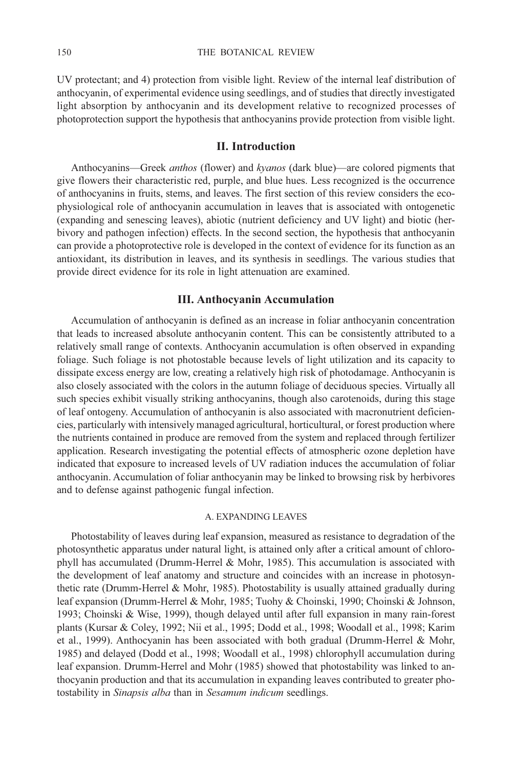UV protectant; and 4) protection from visible light. Review of the internal leaf distribution of anthocyanin, of experimental evidence using seedlings, and of studies that directly investigated light absorption by anthocyanin and its development relative to recognized processes of photoprotection support the hypothesis that anthocyanins provide protection from visible light.

# II. Introduction

Anthocyanins—Greek anthos (flower) and kyanos (dark blue)—are colored pigments that give flowers their characteristic red, purple, and blue hues. Less recognized is the occurrence of anthocyanins in fruits, stems, and leaves. The first section of this review considers the ecophysiological role of anthocyanin accumulation in leaves that is associated with ontogenetic (expanding and senescing leaves), abiotic (nutrient deficiency and UV light) and biotic (herbivory and pathogen infection) effects. In the second section, the hypothesis that anthocyanin can provide a photoprotective role is developed in the context of evidence for its function as an antioxidant, its distribution in leaves, and its synthesis in seedlings. The various studies that provide direct evidence for its role in light attenuation are examined.

# III. Anthocyanin Accumulation

Accumulation of anthocyanin is defined as an increase in foliar anthocyanin concentration that leads to increased absolute anthocyanin content. This can be consistently attributed to a relatively small range of contexts. Anthocyanin accumulation is often observed in expanding foliage. Such foliage is not photostable because levels of light utilization and its capacity to dissipate excess energy are low, creating a relatively high risk of photodamage. Anthocyanin is also closely associated with the colors in the autumn foliage of deciduous species. Virtually all such species exhibit visually striking anthocyanins, though also carotenoids, during this stage of leaf ontogeny. Accumulation of anthocyanin is also associated with macronutrient deficiencies, particularly with intensively managed agricultural, horticultural, or forest production where the nutrients contained in produce are removed from the system and replaced through fertilizer application. Research investigating the potential effects of atmospheric ozone depletion have indicated that exposure to increased levels of UV radiation induces the accumulation of foliar anthocyanin. Accumulation of foliar anthocyanin may be linked to browsing risk by herbivores and to defense against pathogenic fungal infection.

### A. EXPANDING LEAVES

Photostability of leaves during leaf expansion, measured as resistance to degradation of the photosynthetic apparatus under natural light, is attained only after a critical amount of chlorophyll has accumulated (Drumm-Herrel & Mohr, 1985). This accumulation is associated with the development of leaf anatomy and structure and coincides with an increase in photosynthetic rate (Drumm-Herrel & Mohr, 1985). Photostability is usually attained gradually during leaf expansion (Drumm-Herrel & Mohr, 1985; Tuohy & Choinski, 1990; Choinski & Johnson, 1993; Choinski & Wise, 1999), though delayed until after full expansion in many rain-forest plants (Kursar & Coley, 1992; Nii et al., 1995; Dodd et al., 1998; Woodall et al., 1998; Karim et al., 1999). Anthocyanin has been associated with both gradual (Drumm-Herrel & Mohr, 1985) and delayed (Dodd et al., 1998; Woodall et al., 1998) chlorophyll accumulation during leaf expansion. Drumm-Herrel and Mohr (1985) showed that photostability was linked to anthocyanin production and that its accumulation in expanding leaves contributed to greater photostability in Sinapsis alba than in Sesamum indicum seedlings.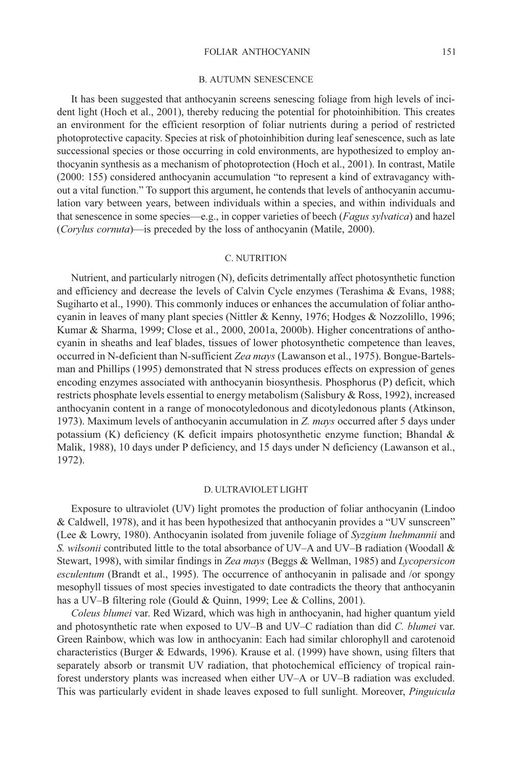#### FOLIAR ANTHOCYANIN 151

#### B. AUTUMN SENESCENCE

It has been suggested that anthocyanin screens senescing foliage from high levels of incident light (Hoch et al., 2001), thereby reducing the potential for photoinhibition. This creates an environment for the efficient resorption of foliar nutrients during a period of restricted photoprotective capacity. Species at risk of photoinhibition during leaf senescence, such as late successional species or those occurring in cold environments, are hypothesized to employ anthocyanin synthesis as a mechanism of photoprotection (Hoch et al., 2001). In contrast, Matile (2000: 155) considered anthocyanin accumulation "to represent a kind of extravagancy without a vital function." To support this argument, he contends that levels of anthocyanin accumulation vary between years, between individuals within a species, and within individuals and that senescence in some species—e.g., in copper varieties of beech (*Fagus sylvatica*) and hazel (Corylus cornuta)—is preceded by the loss of anthocyanin (Matile, 2000).

### C. NUTRITION

Nutrient, and particularly nitrogen (N), deficits detrimentally affect photosynthetic function and efficiency and decrease the levels of Calvin Cycle enzymes (Terashima & Evans, 1988; Sugiharto et al., 1990). This commonly induces or enhances the accumulation of foliar anthocyanin in leaves of many plant species (Nittler & Kenny, 1976; Hodges & Nozzolillo, 1996; Kumar & Sharma, 1999; Close et al., 2000, 2001a, 2000b). Higher concentrations of anthocyanin in sheaths and leaf blades, tissues of lower photosynthetic competence than leaves, occurred in N-deficient than N-sufficient Zea mays (Lawanson et al., 1975). Bongue-Bartelsman and Phillips (1995) demonstrated that N stress produces effects on expression of genes encoding enzymes associated with anthocyanin biosynthesis. Phosphorus (P) deficit, which restricts phosphate levels essential to energy metabolism (Salisbury & Ross, 1992), increased anthocyanin content in a range of monocotyledonous and dicotyledonous plants (Atkinson, 1973). Maximum levels of anthocyanin accumulation in Z. mays occurred after 5 days under potassium (K) deficiency (K deficit impairs photosynthetic enzyme function; Bhandal & Malik, 1988), 10 days under P deficiency, and 15 days under N deficiency (Lawanson et al., 1972).

### D. ULTRAVIOLET LIGHT

Exposure to ultraviolet (UV) light promotes the production of foliar anthocyanin (Lindoo & Caldwell, 1978), and it has been hypothesized that anthocyanin provides a "UV sunscreen" (Lee & Lowry, 1980). Anthocyanin isolated from juvenile foliage of Syzgium luehmannii and S. wilsonii contributed little to the total absorbance of UV–A and UV–B radiation (Woodall & Stewart, 1998), with similar findings in Zea mays (Beggs & Wellman, 1985) and Lycopersicon esculentum (Brandt et al., 1995). The occurrence of anthocyanin in palisade and /or spongy mesophyll tissues of most species investigated to date contradicts the theory that anthocyanin has a UV–B filtering role (Gould & Quinn, 1999; Lee & Collins, 2001).

Coleus blumei var. Red Wizard, which was high in anthocyanin, had higher quantum yield and photosynthetic rate when exposed to UV–B and UV–C radiation than did C. blumei var. Green Rainbow, which was low in anthocyanin: Each had similar chlorophyll and carotenoid characteristics (Burger & Edwards, 1996). Krause et al. (1999) have shown, using filters that separately absorb or transmit UV radiation, that photochemical efficiency of tropical rainforest understory plants was increased when either UV–A or UV–B radiation was excluded. This was particularly evident in shade leaves exposed to full sunlight. Moreover, Pinguicula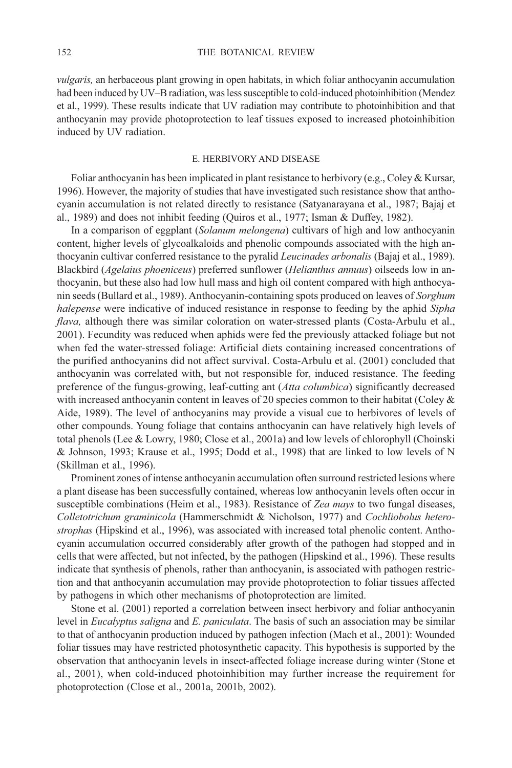vulgaris, an herbaceous plant growing in open habitats, in which foliar anthocyanin accumulation had been induced by UV–B radiation, was less susceptible to cold-induced photoinhibition (Mendez et al., 1999). These results indicate that UV radiation may contribute to photoinhibition and that anthocyanin may provide photoprotection to leaf tissues exposed to increased photoinhibition induced by UV radiation.

### E. HERBIVORY AND DISEASE

Foliar anthocyanin has been implicated in plant resistance to herbivory (e.g., Coley & Kursar, 1996). However, the majority of studies that have investigated such resistance show that anthocyanin accumulation is not related directly to resistance (Satyanarayana et al., 1987; Bajaj et al., 1989) and does not inhibit feeding (Quiros et al., 1977; Isman & Duffey, 1982).

In a comparison of eggplant (*Solanum melongena*) cultivars of high and low anthocyanin content, higher levels of glycoalkaloids and phenolic compounds associated with the high anthocyanin cultivar conferred resistance to the pyralid *Leucinades arbonalis* (Bajaj et al., 1989). Blackbird (Agelaius phoeniceus) preferred sunflower (Helianthus annuus) oilseeds low in anthocyanin, but these also had low hull mass and high oil content compared with high anthocyanin seeds (Bullard et al., 1989). Anthocyanin-containing spots produced on leaves of Sorghum halepense were indicative of induced resistance in response to feeding by the aphid Sipha flava, although there was similar coloration on water-stressed plants (Costa-Arbulu et al., 2001). Fecundity was reduced when aphids were fed the previously attacked foliage but not when fed the water-stressed foliage: Artificial diets containing increased concentrations of the purified anthocyanins did not affect survival. Costa-Arbulu et al. (2001) concluded that anthocyanin was correlated with, but not responsible for, induced resistance. The feeding preference of the fungus-growing, leaf-cutting ant (Atta columbica) significantly decreased with increased anthocyanin content in leaves of 20 species common to their habitat (Coley & Aide, 1989). The level of anthocyanins may provide a visual cue to herbivores of levels of other compounds. Young foliage that contains anthocyanin can have relatively high levels of total phenols (Lee & Lowry, 1980; Close et al., 2001a) and low levels of chlorophyll (Choinski & Johnson, 1993; Krause et al., 1995; Dodd et al., 1998) that are linked to low levels of N (Skillman et al., 1996).

Prominent zones of intense anthocyanin accumulation often surround restricted lesions where a plant disease has been successfully contained, whereas low anthocyanin levels often occur in susceptible combinations (Heim et al., 1983). Resistance of Zea mays to two fungal diseases, Colletotrichum graminicola (Hammerschmidt & Nicholson, 1977) and Cochliobolus heterostrophas (Hipskind et al., 1996), was associated with increased total phenolic content. Anthocyanin accumulation occurred considerably after growth of the pathogen had stopped and in cells that were affected, but not infected, by the pathogen (Hipskind et al., 1996). These results indicate that synthesis of phenols, rather than anthocyanin, is associated with pathogen restriction and that anthocyanin accumulation may provide photoprotection to foliar tissues affected by pathogens in which other mechanisms of photoprotection are limited.

Stone et al. (2001) reported a correlation between insect herbivory and foliar anthocyanin level in *Eucalyptus saligna* and *E. paniculata*. The basis of such an association may be similar to that of anthocyanin production induced by pathogen infection (Mach et al., 2001): Wounded foliar tissues may have restricted photosynthetic capacity. This hypothesis is supported by the observation that anthocyanin levels in insect-affected foliage increase during winter (Stone et al., 2001), when cold-induced photoinhibition may further increase the requirement for photoprotection (Close et al., 2001a, 2001b, 2002).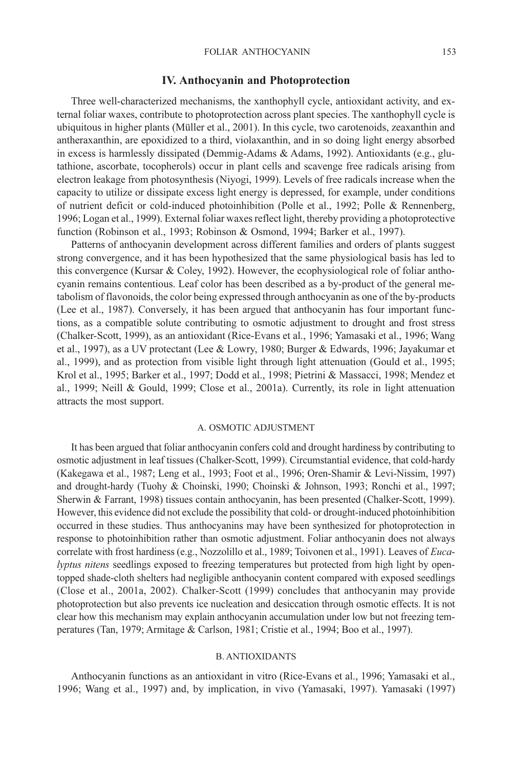# IV. Anthocyanin and Photoprotection

Three well-characterized mechanisms, the xanthophyll cycle, antioxidant activity, and external foliar waxes, contribute to photoprotection across plant species. The xanthophyll cycle is ubiquitous in higher plants (Müller et al., 2001). In this cycle, two carotenoids, zeaxanthin and antheraxanthin, are epoxidized to a third, violaxanthin, and in so doing light energy absorbed in excess is harmlessly dissipated (Demmig-Adams & Adams, 1992). Antioxidants (e.g., glutathione, ascorbate, tocopherols) occur in plant cells and scavenge free radicals arising from electron leakage from photosynthesis (Niyogi, 1999). Levels of free radicals increase when the capacity to utilize or dissipate excess light energy is depressed, for example, under conditions of nutrient deficit or cold-induced photoinhibition (Polle et al., 1992; Polle & Rennenberg, 1996; Logan et al., 1999). External foliar waxes reflect light, thereby providing a photoprotective function (Robinson et al., 1993; Robinson & Osmond, 1994; Barker et al., 1997).

Patterns of anthocyanin development across different families and orders of plants suggest strong convergence, and it has been hypothesized that the same physiological basis has led to this convergence (Kursar & Coley, 1992). However, the ecophysiological role of foliar anthocyanin remains contentious. Leaf color has been described as a by-product of the general metabolism of flavonoids, the color being expressed through anthocyanin as one of the by-products (Lee et al., 1987). Conversely, it has been argued that anthocyanin has four important functions, as a compatible solute contributing to osmotic adjustment to drought and frost stress (Chalker-Scott, 1999), as an antioxidant (Rice-Evans et al., 1996; Yamasaki et al., 1996; Wang et al., 1997), as a UV protectant (Lee & Lowry, 1980; Burger & Edwards, 1996; Jayakumar et al., 1999), and as protection from visible light through light attenuation (Gould et al., 1995; Krol et al., 1995; Barker et al., 1997; Dodd et al., 1998; Pietrini & Massacci, 1998; Mendez et al., 1999; Neill & Gould, 1999; Close et al., 2001a). Currently, its role in light attenuation attracts the most support.

### A. OSMOTIC ADJUSTMENT

It has been argued that foliar anthocyanin confers cold and drought hardiness by contributing to osmotic adjustment in leaf tissues (Chalker-Scott, 1999). Circumstantial evidence, that cold-hardy (Kakegawa et al., 1987; Leng et al., 1993; Foot et al., 1996; Oren-Shamir & Levi-Nissim, 1997) and drought-hardy (Tuohy & Choinski, 1990; Choinski & Johnson, 1993; Ronchi et al., 1997; Sherwin & Farrant, 1998) tissues contain anthocyanin, has been presented (Chalker-Scott, 1999). However, this evidence did not exclude the possibility that cold- or drought-induced photoinhibition occurred in these studies. Thus anthocyanins may have been synthesized for photoprotection in response to photoinhibition rather than osmotic adjustment. Foliar anthocyanin does not always correlate with frost hardiness (e.g., Nozzolillo et al., 1989; Toivonen et al., 1991). Leaves of *Euca*lyptus nitens seedlings exposed to freezing temperatures but protected from high light by opentopped shade-cloth shelters had negligible anthocyanin content compared with exposed seedlings (Close et al., 2001a, 2002). Chalker-Scott (1999) concludes that anthocyanin may provide photoprotection but also prevents ice nucleation and desiccation through osmotic effects. It is not clear how this mechanism may explain anthocyanin accumulation under low but not freezing temperatures (Tan, 1979; Armitage & Carlson, 1981; Cristie et al., 1994; Boo et al., 1997).

## B. ANTIOXIDANTS

Anthocyanin functions as an antioxidant in vitro (Rice-Evans et al., 1996; Yamasaki et al., 1996; Wang et al., 1997) and, by implication, in vivo (Yamasaki, 1997). Yamasaki (1997)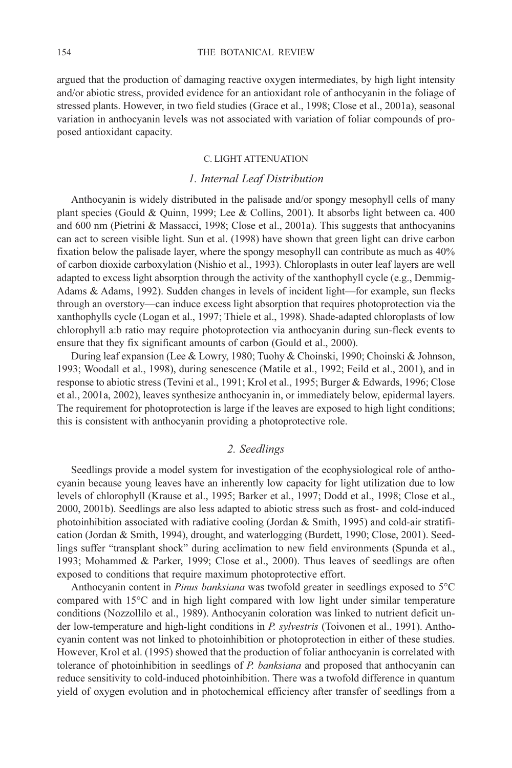argued that the production of damaging reactive oxygen intermediates, by high light intensity and/or abiotic stress, provided evidence for an antioxidant role of anthocyanin in the foliage of stressed plants. However, in two field studies (Grace et al., 1998; Close et al., 2001a), seasonal variation in anthocyanin levels was not associated with variation of foliar compounds of proposed antioxidant capacity.

#### C. LIGHT ATTENUATION

### 1. Internal Leaf Distribution

Anthocyanin is widely distributed in the palisade and/or spongy mesophyll cells of many plant species (Gould & Quinn, 1999; Lee & Collins, 2001). It absorbs light between ca. 400 and 600 nm (Pietrini & Massacci, 1998; Close et al., 2001a). This suggests that anthocyanins can act to screen visible light. Sun et al. (1998) have shown that green light can drive carbon fixation below the palisade layer, where the spongy mesophyll can contribute as much as 40% of carbon dioxide carboxylation (Nishio et al., 1993). Chloroplasts in outer leaf layers are well adapted to excess light absorption through the activity of the xanthophyll cycle (e.g., Demmig-Adams & Adams, 1992). Sudden changes in levels of incident light—for example, sun flecks through an overstory—can induce excess light absorption that requires photoprotection via the xanthophylls cycle (Logan et al., 1997; Thiele et al., 1998). Shade-adapted chloroplasts of low chlorophyll a:b ratio may require photoprotection via anthocyanin during sun-fleck events to ensure that they fix significant amounts of carbon (Gould et al., 2000).

During leaf expansion (Lee & Lowry, 1980; Tuohy & Choinski, 1990; Choinski & Johnson, 1993; Woodall et al., 1998), during senescence (Matile et al., 1992; Feild et al., 2001), and in response to abiotic stress (Tevini et al., 1991; Krol et al., 1995; Burger & Edwards, 1996; Close et al., 2001a, 2002), leaves synthesize anthocyanin in, or immediately below, epidermal layers. The requirement for photoprotection is large if the leaves are exposed to high light conditions; this is consistent with anthocyanin providing a photoprotective role.

# 2. Seedlings

Seedlings provide a model system for investigation of the ecophysiological role of anthocyanin because young leaves have an inherently low capacity for light utilization due to low levels of chlorophyll (Krause et al., 1995; Barker et al., 1997; Dodd et al., 1998; Close et al., 2000, 2001b). Seedlings are also less adapted to abiotic stress such as frost- and cold-induced photoinhibition associated with radiative cooling (Jordan & Smith, 1995) and cold-air stratification (Jordan & Smith, 1994), drought, and waterlogging (Burdett, 1990; Close, 2001). Seedlings suffer "transplant shock" during acclimation to new field environments (Spunda et al., 1993; Mohammed & Parker, 1999; Close et al., 2000). Thus leaves of seedlings are often exposed to conditions that require maximum photoprotective effort.

Anthocyanin content in Pinus banksiana was twofold greater in seedlings exposed to 5°C compared with 15°C and in high light compared with low light under similar temperature conditions (Nozzollilo et al., 1989). Anthocyanin coloration was linked to nutrient deficit under low-temperature and high-light conditions in P. sylvestris (Toivonen et al., 1991). Anthocyanin content was not linked to photoinhibition or photoprotection in either of these studies. However, Krol et al. (1995) showed that the production of foliar anthocyanin is correlated with tolerance of photoinhibition in seedlings of P. banksiana and proposed that anthocyanin can reduce sensitivity to cold-induced photoinhibition. There was a twofold difference in quantum yield of oxygen evolution and in photochemical efficiency after transfer of seedlings from a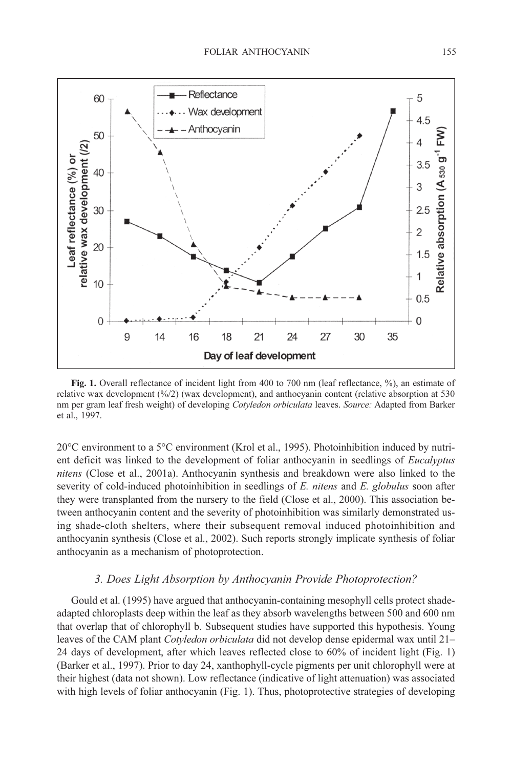

Fig. 1. Overall reflectance of incident light from 400 to 700 nm (leaf reflectance, %), an estimate of relative wax development (%/2) (wax development), and anthocyanin content (relative absorption at 530 nm per gram leaf fresh weight) of developing Cotyledon orbiculata leaves. Source: Adapted from Barker et al., 1997.

20°C environment to a 5°C environment (Krol et al., 1995). Photoinhibition induced by nutrient deficit was linked to the development of foliar anthocyanin in seedlings of Eucalyptus nitens (Close et al., 2001a). Anthocyanin synthesis and breakdown were also linked to the severity of cold-induced photoinhibition in seedlings of E. nitens and E. globulus soon after they were transplanted from the nursery to the field (Close et al., 2000). This association between anthocyanin content and the severity of photoinhibition was similarly demonstrated using shade-cloth shelters, where their subsequent removal induced photoinhibition and anthocyanin synthesis (Close et al., 2002). Such reports strongly implicate synthesis of foliar anthocyanin as a mechanism of photoprotection.

## 3. Does Light Absorption by Anthocyanin Provide Photoprotection?

Gould et al. (1995) have argued that anthocyanin-containing mesophyll cells protect shadeadapted chloroplasts deep within the leaf as they absorb wavelengths between 500 and 600 nm that overlap that of chlorophyll b. Subsequent studies have supported this hypothesis. Young leaves of the CAM plant Cotyledon orbiculata did not develop dense epidermal wax until 21-24 days of development, after which leaves reflected close to 60% of incident light (Fig. 1) (Barker et al., 1997). Prior to day 24, xanthophyll-cycle pigments per unit chlorophyll were at their highest (data not shown). Low reflectance (indicative of light attenuation) was associated with high levels of foliar anthocyanin (Fig. 1). Thus, photoprotective strategies of developing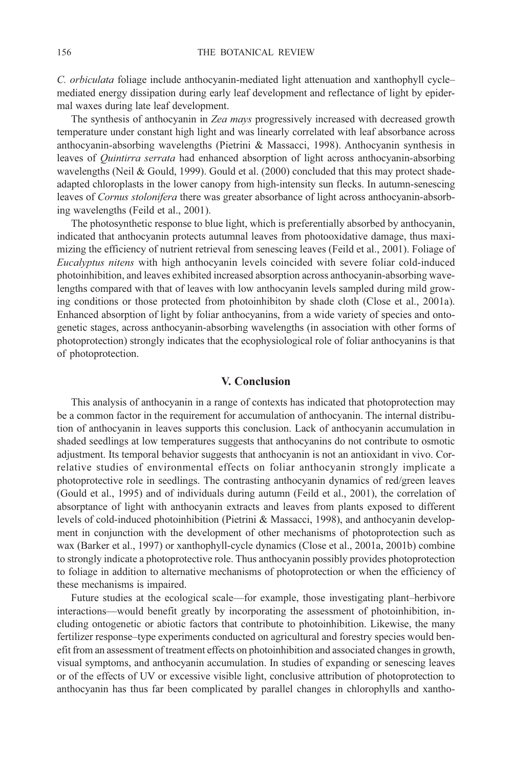C. orbiculata foliage include anthocyanin-mediated light attenuation and xanthophyll cycle– mediated energy dissipation during early leaf development and reflectance of light by epidermal waxes during late leaf development.

The synthesis of anthocyanin in Zea mays progressively increased with decreased growth temperature under constant high light and was linearly correlated with leaf absorbance across anthocyanin-absorbing wavelengths (Pietrini & Massacci, 1998). Anthocyanin synthesis in leaves of *Quintirra serrata* had enhanced absorption of light across anthocyanin-absorbing wavelengths (Neil & Gould, 1999). Gould et al. (2000) concluded that this may protect shadeadapted chloroplasts in the lower canopy from high-intensity sun flecks. In autumn-senescing leaves of Cornus stolonifera there was greater absorbance of light across anthocyanin-absorbing wavelengths (Feild et al., 2001).

The photosynthetic response to blue light, which is preferentially absorbed by anthocyanin, indicated that anthocyanin protects autumnal leaves from photooxidative damage, thus maximizing the efficiency of nutrient retrieval from senescing leaves (Feild et al., 2001). Foliage of Eucalyptus nitens with high anthocyanin levels coincided with severe foliar cold-induced photoinhibition, and leaves exhibited increased absorption across anthocyanin-absorbing wavelengths compared with that of leaves with low anthocyanin levels sampled during mild growing conditions or those protected from photoinhibiton by shade cloth (Close et al., 2001a). Enhanced absorption of light by foliar anthocyanins, from a wide variety of species and ontogenetic stages, across anthocyanin-absorbing wavelengths (in association with other forms of photoprotection) strongly indicates that the ecophysiological role of foliar anthocyanins is that of photoprotection.

### V. Conclusion

This analysis of anthocyanin in a range of contexts has indicated that photoprotection may be a common factor in the requirement for accumulation of anthocyanin. The internal distribution of anthocyanin in leaves supports this conclusion. Lack of anthocyanin accumulation in shaded seedlings at low temperatures suggests that anthocyanins do not contribute to osmotic adjustment. Its temporal behavior suggests that anthocyanin is not an antioxidant in vivo. Correlative studies of environmental effects on foliar anthocyanin strongly implicate a photoprotective role in seedlings. The contrasting anthocyanin dynamics of red/green leaves (Gould et al., 1995) and of individuals during autumn (Feild et al., 2001), the correlation of absorptance of light with anthocyanin extracts and leaves from plants exposed to different levels of cold-induced photoinhibition (Pietrini & Massacci, 1998), and anthocyanin development in conjunction with the development of other mechanisms of photoprotection such as wax (Barker et al., 1997) or xanthophyll-cycle dynamics (Close et al., 2001a, 2001b) combine to strongly indicate a photoprotective role. Thus anthocyanin possibly provides photoprotection to foliage in addition to alternative mechanisms of photoprotection or when the efficiency of these mechanisms is impaired.

Future studies at the ecological scale—for example, those investigating plant–herbivore interactions—would benefit greatly by incorporating the assessment of photoinhibition, including ontogenetic or abiotic factors that contribute to photoinhibition. Likewise, the many fertilizer response–type experiments conducted on agricultural and forestry species would benefit from an assessment of treatment effects on photoinhibition and associated changes in growth, visual symptoms, and anthocyanin accumulation. In studies of expanding or senescing leaves or of the effects of UV or excessive visible light, conclusive attribution of photoprotection to anthocyanin has thus far been complicated by parallel changes in chlorophylls and xantho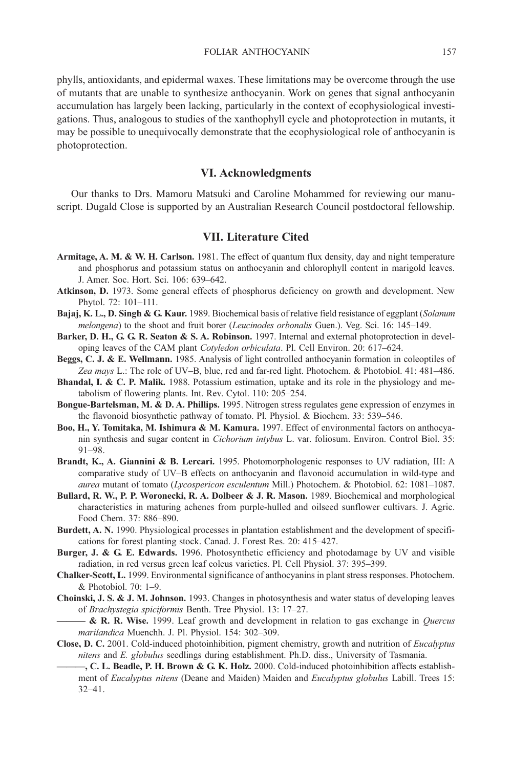phylls, antioxidants, and epidermal waxes. These limitations may be overcome through the use of mutants that are unable to synthesize anthocyanin. Work on genes that signal anthocyanin accumulation has largely been lacking, particularly in the context of ecophysiological investigations. Thus, analogous to studies of the xanthophyll cycle and photoprotection in mutants, it may be possible to unequivocally demonstrate that the ecophysiological role of anthocyanin is photoprotection.

## VI. Acknowledgments

Our thanks to Drs. Mamoru Matsuki and Caroline Mohammed for reviewing our manuscript. Dugald Close is supported by an Australian Research Council postdoctoral fellowship.

### VII. Literature Cited

- Armitage, A. M. & W. H. Carlson. 1981. The effect of quantum flux density, day and night temperature and phosphorus and potassium status on anthocyanin and chlorophyll content in marigold leaves. J. Amer. Soc. Hort. Sci. 106: 639–642.
- Atkinson, D. 1973. Some general effects of phosphorus deficiency on growth and development. New Phytol. 72: 101–111.
- Bajaj, K. L., D. Singh & G. Kaur. 1989. Biochemical basis of relative field resistance of eggplant (Solanum melongena) to the shoot and fruit borer (Leucinodes orbonalis Guen.). Veg. Sci. 16: 145–149.
- Barker, D. H., G. G. R. Seaton & S. A. Robinson. 1997. Internal and external photoprotection in developing leaves of the CAM plant Cotyledon orbiculata. Pl. Cell Environ. 20: 617–624.
- Beggs, C. J. & E. Wellmann. 1985. Analysis of light controlled anthocyanin formation in coleoptiles of Zea mays L.: The role of UV–B, blue, red and far-red light. Photochem. & Photobiol. 41: 481–486.
- Bhandal, I. & C. P. Malik. 1988. Potassium estimation, uptake and its role in the physiology and metabolism of flowering plants. Int. Rev. Cytol. 110: 205–254.
- Bongue-Bartelsman, M. & D. A. Phillips. 1995. Nitrogen stress regulates gene expression of enzymes in the flavonoid biosynthetic pathway of tomato. Pl. Physiol. & Biochem. 33: 539–546.
- Boo, H., Y. Tomitaka, M. Ishimura & M. Kamura. 1997. Effect of environmental factors on anthocyanin synthesis and sugar content in Cichorium intybus L. var. foliosum. Environ. Control Biol. 35: 91–98.
- Brandt, K., A. Giannini & B. Lercari. 1995. Photomorphologenic responses to UV radiation, III: A comparative study of UV–B effects on anthocyanin and flavonoid accumulation in wild-type and aurea mutant of tomato (Lycospericon esculentum Mill.) Photochem. & Photobiol. 62: 1081–1087.
- Bullard, R. W., P. P. Woronecki, R. A. Dolbeer & J. R. Mason. 1989. Biochemical and morphological characteristics in maturing achenes from purple-hulled and oilseed sunflower cultivars. J. Agric. Food Chem. 37: 886–890.
- Burdett, A. N. 1990. Physiological processes in plantation establishment and the development of specifications for forest planting stock. Canad. J. Forest Res. 20: 415–427.
- Burger, J. & G. E. Edwards. 1996. Photosynthetic efficiency and photodamage by UV and visible radiation, in red versus green leaf coleus varieties. Pl. Cell Physiol. 37: 395–399.
- Chalker-Scott, L. 1999. Environmental significance of anthocyanins in plant stress responses. Photochem. & Photobiol. 70: 1–9.
- Choinski, J. S. & J. M. Johnson. 1993. Changes in photosynthesis and water status of developing leaves of Brachystegia spiciformis Benth. Tree Physiol. 13: 17–27.
	- $-\&$  R. R. Wise. 1999. Leaf growth and development in relation to gas exchange in Quercus marilandica Muenchh. J. Pl. Physiol. 154: 302–309.
- Close, D. C. 2001. Cold-induced photoinhibition, pigment chemistry, growth and nutrition of Eucalyptus nitens and E. globulus seedlings during establishment. Ph.D. diss., University of Tasmania.
- -, C. L. Beadle, P. H. Brown & G. K. Holz. 2000. Cold-induced photoinhibition affects establishment of Eucalyptus nitens (Deane and Maiden) Maiden and Eucalyptus globulus Labill. Trees 15: 32–41.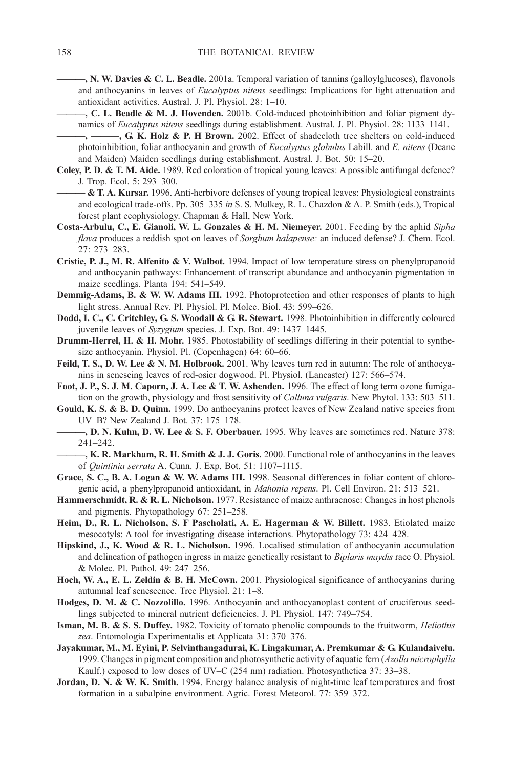———, N. W. Davies & C. L. Beadle. 2001a. Temporal variation of tannins (galloylglucoses), flavonols and anthocyanins in leaves of *Eucalyptus nitens* seedlings: Implications for light attenuation and antioxidant activities. Austral. J. Pl. Physiol. 28: 1–10.

 $-$ , C. L. Beadle & M. J. Hovenden. 2001b. Cold-induced photoinhibition and foliar pigment dynamics of Eucalyptus nitens seedlings during establishment. Austral. J. Pl. Physiol. 28: 1133–1141.

 $\overline{\phantom{a}}$ ,  $\overline{\phantom{a}}$  G. K. Holz & P. H Brown. 2002. Effect of shadecloth tree shelters on cold-induced photoinhibition, foliar anthocyanin and growth of *Eucalyptus globulus* Labill. and *E. nitens* (Deane and Maiden) Maiden seedlings during establishment. Austral. J. Bot. 50: 15–20.

- Coley, P. D. & T. M. Aide. 1989. Red coloration of tropical young leaves: A possible antifungal defence? J. Trop. Ecol. 5: 293–300.
	- $-\mathbf{\&}$  T. A. Kursar. 1996. Anti-herbivore defenses of young tropical leaves: Physiological constraints and ecological trade-offs. Pp.  $305-335$  in S. S. Mulkey, R. L. Chazdon & A. P. Smith (eds.), Tropical forest plant ecophysiology. Chapman & Hall, New York.
- Costa-Arbulu, C., E. Gianoli, W. L. Gonzales & H. M. Niemeyer. 2001. Feeding by the aphid Sipha flava produces a reddish spot on leaves of Sorghum halapense: an induced defense? J. Chem. Ecol. 27: 273–283.
- Cristie, P. J., M. R. Alfenito & V. Walbot. 1994. Impact of low temperature stress on phenylpropanoid and anthocyanin pathways: Enhancement of transcript abundance and anthocyanin pigmentation in maize seedlings. Planta 194: 541–549.
- Demmig-Adams, B. & W. W. Adams III. 1992. Photoprotection and other responses of plants to high light stress. Annual Rev. Pl. Physiol. Pl. Molec. Biol. 43: 599–626.
- Dodd, I. C., C. Critchley, G. S. Woodall & G. R. Stewart. 1998. Photoinhibition in differently coloured juvenile leaves of Syzygium species. J. Exp. Bot. 49: 1437–1445.
- Drumm-Herrel, H. & H. Mohr. 1985. Photostability of seedlings differing in their potential to synthesize anthocyanin. Physiol. Pl. (Copenhagen) 64: 60–66.
- Feild, T. S., D. W. Lee & N. M. Holbrook. 2001. Why leaves turn red in autumn: The role of anthocyanins in senescing leaves of red-osier dogwood. Pl. Physiol. (Lancaster) 127: 566–574.
- Foot, J. P., S. J. M. Caporn, J. A. Lee & T. W. Ashenden. 1996. The effect of long term ozone fumigation on the growth, physiology and frost sensitivity of *Calluna vulgaris*. New Phytol. 133: 503–511.
- Gould, K. S. & B. D. Quinn. 1999. Do anthocyanins protect leaves of New Zealand native species from UV–B? New Zealand J. Bot. 37: 175–178.

- $\longrightarrow$ , K. R. Markham, R. H. Smith & J. J. Goris. 2000. Functional role of anthocyanins in the leaves of Quintinia serrata A. Cunn. J. Exp. Bot. 51: 1107–1115.
- Grace, S. C., B. A. Logan & W. W. Adams III. 1998. Seasonal differences in foliar content of chlorogenic acid, a phenylpropanoid antioxidant, in Mahonia repens. Pl. Cell Environ. 21: 513–521.
- Hammerschmidt, R. & R. L. Nicholson. 1977. Resistance of maize anthracnose: Changes in host phenols and pigments. Phytopathology 67: 251–258.
- Heim, D., R. L. Nicholson, S. F Pascholati, A. E. Hagerman & W. Billett. 1983. Etiolated maize mesocotyls: A tool for investigating disease interactions. Phytopathology 73: 424–428.
- Hipskind, J., K. Wood & R. L. Nicholson. 1996. Localised stimulation of anthocyanin accumulation and delineation of pathogen ingress in maize genetically resistant to Biplaris maydis race O. Physiol. & Molec. Pl. Pathol. 49: 247–256.
- Hoch, W. A., E. L. Zeldin & B. H. McCown. 2001. Physiological significance of anthocyanins during autumnal leaf senescence. Tree Physiol. 21: 1–8.
- Hodges, D. M. & C. Nozzolillo. 1996. Anthocyanin and anthocyanoplast content of cruciferous seedlings subjected to mineral nutrient deficiencies. J. Pl. Physiol. 147: 749–754.
- Isman, M. B. & S. S. Duffey. 1982. Toxicity of tomato phenolic compounds to the fruitworm, Heliothis zea. Entomologia Experimentalis et Applicata 31: 370–376.
- Jayakumar, M., M. Eyini, P. Selvinthangadurai, K. Lingakumar, A. Premkumar & G. Kulandaivelu. 1999. Changes in pigment composition and photosynthetic activity of aquatic fern (Azolla microphylla Kaulf.) exposed to low doses of UV–C (254 nm) radiation. Photosynthetica 37: 33–38.
- Jordan, D. N. & W. K. Smith. 1994. Energy balance analysis of night-time leaf temperatures and frost formation in a subalpine environment. Agric. Forest Meteorol. 77: 359–372.

<sup>-,</sup> D. N. Kuhn, D. W. Lee & S. F. Oberbauer. 1995. Why leaves are sometimes red. Nature 378: 241–242.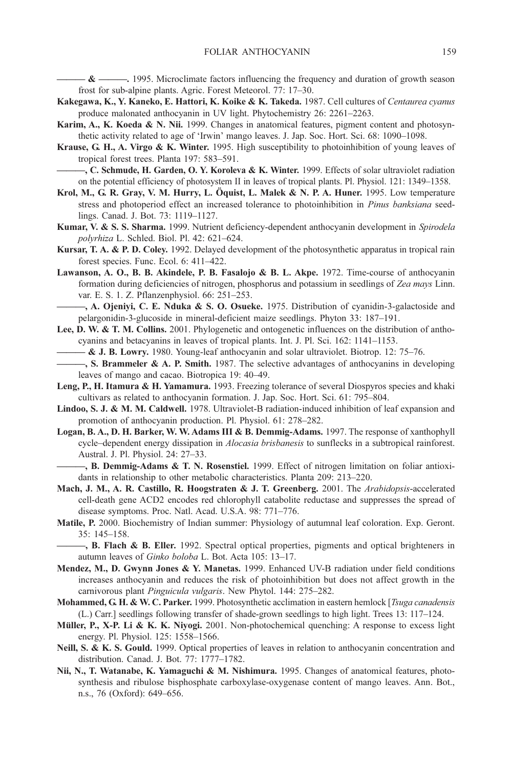$-\&$  ———. 1995. Microclimate factors influencing the frequency and duration of growth season frost for sub-alpine plants. Agric. Forest Meteorol. 77: 17–30.

- Kakegawa, K., Y. Kaneko, E. Hattori, K. Koike & K. Takeda. 1987. Cell cultures of Centaurea cyanus produce malonated anthocyanin in UV light. Phytochemistry 26: 2261–2263.
- Karim, A., K. Koeda & N. Nii. 1999. Changes in anatomical features, pigment content and photosynthetic activity related to age of 'Irwin' mango leaves. J. Jap. Soc. Hort. Sci. 68: 1090–1098.
- Krause, G. H., A. Virgo & K. Winter. 1995. High susceptibility to photoinhibition of young leaves of tropical forest trees. Planta 197: 583–591.
	- ———, C. Schmude, H. Garden, O. Y. Koroleva & K. Winter. 1999. Effects of solar ultraviolet radiation on the potential efficiency of photosystem II in leaves of tropical plants. Pl. Physiol. 121: 1349–1358.
- Krol, M., G. R. Gray, V. M. Hurry, L. Öquist, L. Malek & N. P. A. Huner. 1995. Low temperature stress and photoperiod effect an increased tolerance to photoinhibition in *Pinus banksiana* seedlings. Canad. J. Bot. 73: 1119–1127.
- Kumar, V. & S. S. Sharma. 1999. Nutrient deficiency-dependent anthocyanin development in Spirodela polyrhiza L. Schled. Biol. Pl. 42: 621–624.
- Kursar, T. A. & P. D. Coley. 1992. Delayed development of the photosynthetic apparatus in tropical rain forest species. Func. Ecol. 6: 411–422.
- Lawanson, A. O., B. B. Akindele, P. B. Fasalojo & B. L. Akpe. 1972. Time-course of anthocyanin formation during deficiencies of nitrogen, phosphorus and potassium in seedlings of Zea mays Linn. var. E. S. 1. Z. Pflanzenphysiol. 66: 251–253.
- $-$ , A. Ojenivi, C. E. Nduka & S. O. Osueke. 1975. Distribution of cyanidin-3-galactoside and pelargonidin-3-glucoside in mineral-deficient maize seedlings. Phyton 33: 187–191.
- Lee, D. W. & T. M. Collins. 2001. Phylogenetic and ontogenetic influences on the distribution of anthocyanins and betacyanins in leaves of tropical plants. Int. J. Pl. Sci. 162: 1141–1153.
	- & J. B. Lowry. 1980. Young-leaf anthocyanin and solar ultraviolet. Biotrop. 12: 75–76.
- $\rightarrow$ , S. Brammeler & A. P. Smith. 1987. The selective advantages of anthocyanins in developing leaves of mango and cacao. Biotropica 19: 40–49.
- Leng, P., H. Itamura & H. Yamamura. 1993. Freezing tolerance of several Diospyros species and khaki cultivars as related to anthocyanin formation. J. Jap. Soc. Hort. Sci. 61: 795–804.
- Lindoo, S. J. & M. M. Caldwell. 1978. Ultraviolet-B radiation-induced inhibition of leaf expansion and promotion of anthocyanin production. Pl. Physiol. 61: 278–282.
- Logan, B. A., D. H. Barker, W. W. Adams III & B. Demmig-Adams. 1997. The response of xanthophyll cycle–dependent energy dissipation in *Alocasia brisbanesis* to sunflecks in a subtropical rainforest. Austral. J. Pl. Physiol. 24: 27–33.
- ———, B. Demmig-Adams & T. N. Rosenstiel. 1999. Effect of nitrogen limitation on foliar antioxidants in relationship to other metabolic characteristics. Planta 209: 213–220.
- Mach, J. M., A. R. Castillo, R. Hoogstraten & J. T. Greenberg. 2001. The Arabidopsis-accelerated cell-death gene ACD2 encodes red chlorophyll catabolite reductase and suppresses the spread of disease symptoms. Proc. Natl. Acad. U.S.A. 98: 771–776.
- Matile, P. 2000. Biochemistry of Indian summer: Physiology of autumnal leaf coloration. Exp. Geront. 35: 145–158.
- ———, B. Flach & B. Eller. 1992. Spectral optical properties, pigments and optical brighteners in autumn leaves of Ginko boloba L. Bot. Acta 105: 13–17.
- Mendez, M., D. Gwynn Jones & Y. Manetas. 1999. Enhanced UV-B radiation under field conditions increases anthocyanin and reduces the risk of photoinhibition but does not affect growth in the carnivorous plant Pinguicula vulgaris. New Phytol. 144: 275–282.
- Mohammed, G. H. & W. C. Parker. 1999. Photosynthetic acclimation in eastern hemlock [Tsuga canadensis (L.) Carr.] seedlings following transfer of shade-grown seedlings to high light. Trees 13: 117–124.
- Müller, P., X-P. Li & K. K. Niyogi. 2001. Non-photochemical quenching: A response to excess light energy. Pl. Physiol. 125: 1558–1566.
- Neill, S. & K. S. Gould. 1999. Optical properties of leaves in relation to anthocyanin concentration and distribution. Canad. J. Bot. 77: 1777–1782.
- Nii, N., T. Watanabe, K. Yamaguchi & M. Nishimura. 1995. Changes of anatomical features, photosynthesis and ribulose bisphosphate carboxylase-oxygenase content of mango leaves. Ann. Bot., n.s., 76 (Oxford): 649–656.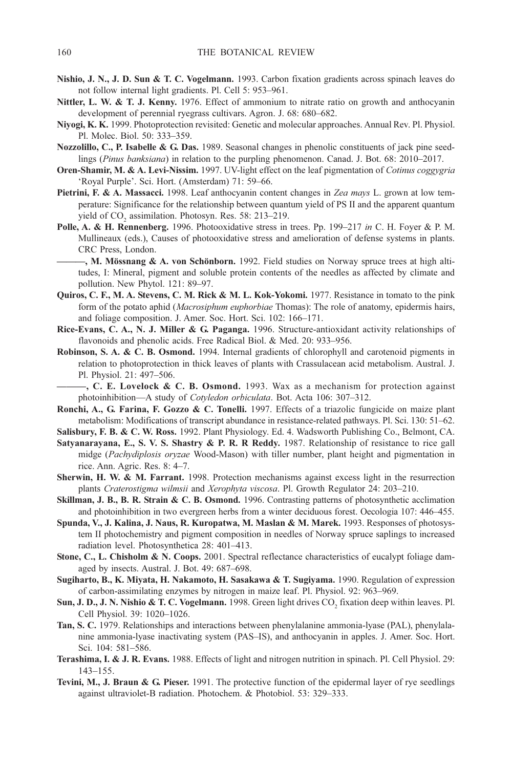- Nishio, J. N., J. D. Sun & T. C. Vogelmann. 1993. Carbon fixation gradients across spinach leaves do not follow internal light gradients. Pl. Cell 5: 953–961.
- Nittler, L. W. & T. J. Kenny. 1976. Effect of ammonium to nitrate ratio on growth and anthocyanin development of perennial ryegrass cultivars. Agron. J. 68: 680–682.
- Niyogi, K. K. 1999. Photoprotection revisited: Genetic and molecular approaches. Annual Rev. Pl. Physiol. Pl. Molec. Biol. 50: 333–359.
- Nozzolillo, C., P. Isabelle & G. Das. 1989. Seasonal changes in phenolic constituents of jack pine seedlings (Pinus banksiana) in relation to the purpling phenomenon. Canad. J. Bot. 68: 2010–2017.
- Oren-Shamir, M. & A. Levi-Nissim. 1997. UV-light effect on the leaf pigmentation of Cotinus coggygria 'Royal Purple'. Sci. Hort. (Amsterdam) 71: 59–66.
- Pietrini, F. & A. Massacci. 1998. Leaf anthocyanin content changes in Zea mays L. grown at low temperature: Significance for the relationship between quantum yield of PS II and the apparent quantum yield of  $CO_2$  assimilation. Photosyn. Res. 58: 213–219.
- Polle, A. & H. Rennenberg. 1996. Photooxidative stress in trees. Pp. 199–217 in C. H. Foyer & P. M. Mullineaux (eds.), Causes of photooxidative stress and amelioration of defense systems in plants. CRC Press, London.
	- $\sim$ , M. Mössnang & A. von Schönborn. 1992. Field studies on Norway spruce trees at high altitudes, I: Mineral, pigment and soluble protein contents of the needles as affected by climate and pollution. New Phytol. 121: 89–97.
- Quiros, C. F., M. A. Stevens, C. M. Rick & M. L. Kok-Yokomi. 1977. Resistance in tomato to the pink form of the potato aphid (*Macrosiphum euphorbiae* Thomas): The role of anatomy, epidermis hairs, and foliage composition. J. Amer. Soc. Hort. Sci. 102: 166–171.
- Rice-Evans, C. A., N. J. Miller & G. Paganga. 1996. Structure-antioxidant activity relationships of flavonoids and phenolic acids. Free Radical Biol. & Med. 20: 933–956.
- Robinson, S. A. & C. B. Osmond. 1994. Internal gradients of chlorophyll and carotenoid pigments in relation to photoprotection in thick leaves of plants with Crassulacean acid metabolism. Austral. J. Pl. Physiol. 21: 497–506.
- $\sim$ , C. E. Lovelock & C. B. Osmond. 1993. Wax as a mechanism for protection against photoinhibition—A study of Cotyledon orbiculata. Bot. Acta 106: 307–312.
- Ronchi, A., G. Farina, F. Gozzo & C. Tonelli. 1997. Effects of a triazolic fungicide on maize plant metabolism: Modifications of transcript abundance in resistance-related pathways. Pl. Sci. 130: 51–62.

Salisbury, F. B. & C. W. Ross. 1992. Plant Physiology. Ed. 4. Wadsworth Publishing Co., Belmont, CA.

- Satyanarayana, E., S. V. S. Shastry & P. R. R Reddy. 1987. Relationship of resistance to rice gall midge (Pachydiplosis oryzae Wood-Mason) with tiller number, plant height and pigmentation in rice. Ann. Agric. Res. 8: 4–7.
- Sherwin, H. W. & M. Farrant. 1998. Protection mechanisms against excess light in the resurrection plants Craterostigma wilmsii and Xerophyta viscosa. Pl. Growth Regulator 24: 203–210.
- Skillman, J. B., B. R. Strain & C. B. Osmond. 1996. Contrasting patterns of photosynthetic acclimation and photoinhibition in two evergreen herbs from a winter deciduous forest. Oecologia 107: 446–455.
- Spunda, V., J. Kalina, J. Naus, R. Kuropatwa, M. Maslan & M. Marek. 1993. Responses of photosystem II photochemistry and pigment composition in needles of Norway spruce saplings to increased radiation level. Photosynthetica 28: 401–413.
- Stone, C., L. Chisholm & N. Coops. 2001. Spectral reflectance characteristics of eucalypt foliage damaged by insects. Austral. J. Bot. 49: 687–698.
- Sugiharto, B., K. Miyata, H. Nakamoto, H. Sasakawa & T. Sugiyama. 1990. Regulation of expression of carbon-assimilating enzymes by nitrogen in maize leaf. Pl. Physiol. 92: 963–969.
- **Sun, J. D., J. N. Nishio & T. C. Vogelmann.** 1998. Green light drives  $CO_2$  fixation deep within leaves. Pl. Cell Physiol. 39: 1020–1026.
- Tan, S. C. 1979. Relationships and interactions between phenylalanine ammonia-lyase (PAL), phenylalanine ammonia-lyase inactivating system (PAS–IS), and anthocyanin in apples. J. Amer. Soc. Hort. Sci. 104: 581–586.
- Terashima, I. & J. R. Evans. 1988. Effects of light and nitrogen nutrition in spinach. Pl. Cell Physiol. 29: 143–155.
- Tevini, M., J. Braun & G. Pieser. 1991. The protective function of the epidermal layer of rye seedlings against ultraviolet-B radiation. Photochem. & Photobiol. 53: 329–333.